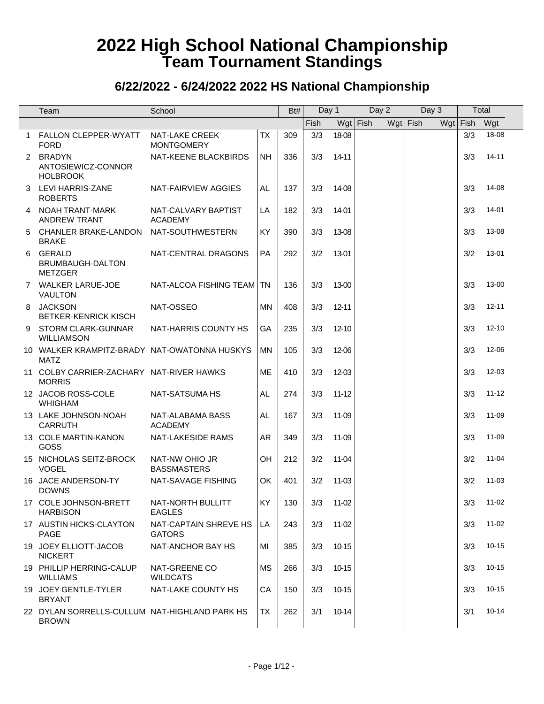|              | Team                                                          | School                                     |           | Bt# | Day 1 |           | Day 2      | Day 3      |     | Total |           |
|--------------|---------------------------------------------------------------|--------------------------------------------|-----------|-----|-------|-----------|------------|------------|-----|-------|-----------|
|              |                                                               |                                            |           |     | Fish  |           | $Wgt$ Fish | $Wgt$ Fish | Wgt | Fish  | Wgt       |
| $\mathbf{1}$ | <b>FALLON CLEPPER-WYATT</b><br><b>FORD</b>                    | <b>NAT-LAKE CREEK</b><br><b>MONTGOMERY</b> | <b>TX</b> | 309 | 3/3   | 18-08     |            |            |     | 3/3   | 18-08     |
|              | 2 BRADYN<br>ANTOSIEWICZ-CONNOR<br><b>HOLBROOK</b>             | NAT-KEENE BLACKBIRDS                       | <b>NH</b> | 336 | 3/3   | 14-11     |            |            |     | 3/3   | 14-11     |
| 3            | LEVI HARRIS-ZANE<br><b>ROBERTS</b>                            | NAT-FAIRVIEW AGGIES                        | AL.       | 137 | 3/3   | 14-08     |            |            |     | 3/3   | 14-08     |
| 4            | NOAH TRANT-MARK<br><b>ANDREW TRANT</b>                        | NAT-CALVARY BAPTIST<br><b>ACADEMY</b>      | LA        | 182 | 3/3   | 14-01     |            |            |     | 3/3   | 14-01     |
| 5            | <b>CHANLER BRAKE-LANDON</b><br><b>BRAKE</b>                   | NAT-SOUTHWESTERN                           | KY        | 390 | 3/3   | 13-08     |            |            |     | 3/3   | 13-08     |
| 6            | <b>GERALD</b><br>BRUMBAUGH-DALTON<br><b>METZGER</b>           | NAT-CENTRAL DRAGONS                        | PA        | 292 | 3/2   | 13-01     |            |            |     | 3/2   | 13-01     |
|              | 7 WALKER LARUE-JOE<br><b>VAULTON</b>                          | NAT-ALCOA FISHING TEAM                     | TN        | 136 | 3/3   | 13-00     |            |            |     | 3/3   | 13-00     |
|              | 8 JACKSON<br><b>BETKER-KENRICK KISCH</b>                      | NAT-OSSEO                                  | <b>MN</b> | 408 | 3/3   | $12 - 11$ |            |            |     | 3/3   | $12 - 11$ |
| 9            | <b>STORM CLARK-GUNNAR</b><br><b>WILLIAMSON</b>                | NAT-HARRIS COUNTY HS                       | GA        | 235 | 3/3   | $12 - 10$ |            |            |     | 3/3   | $12 - 10$ |
|              | 10 WALKER KRAMPITZ-BRADY NAT-OWATONNA HUSKYS<br><b>MATZ</b>   |                                            | MN        | 105 | 3/3   | 12-06     |            |            |     | 3/3   | 12-06     |
|              | 11 COLBY CARRIER-ZACHARY NAT-RIVER HAWKS<br><b>MORRIS</b>     |                                            | <b>ME</b> | 410 | 3/3   | 12-03     |            |            |     | 3/3   | 12-03     |
|              | 12 JACOB ROSS-COLE<br><b>WHIGHAM</b>                          | NAT-SATSUMA HS                             | AL.       | 274 | 3/3   | $11 - 12$ |            |            |     | 3/3   | $11 - 12$ |
|              | 13 LAKE JOHNSON-NOAH<br><b>CARRUTH</b>                        | NAT-ALABAMA BASS<br><b>ACADEMY</b>         | <b>AL</b> | 167 | 3/3   | 11-09     |            |            |     | 3/3   | 11-09     |
|              | 13 COLE MARTIN-KANON<br>GOSS                                  | <b>NAT-LAKESIDE RAMS</b>                   | <b>AR</b> | 349 | 3/3   | 11-09     |            |            |     | 3/3   | 11-09     |
|              | 15 NICHOLAS SEITZ-BROCK<br><b>VOGEL</b>                       | NAT-NW OHIO JR<br><b>BASSMASTERS</b>       | OH        | 212 | 3/2   | 11-04     |            |            |     | 3/2   | $11 - 04$ |
|              | 16 JACE ANDERSON-TY<br><b>DOWNS</b>                           | NAT-SAVAGE FISHING                         | OK        | 401 | 3/2   | 11-03     |            |            |     | 3/2   | $11 - 03$ |
|              | 17 COLE JOHNSON-BRETT<br><b>HARBISON</b>                      | NAT-NORTH BULLITT<br><b>EAGLES</b>         | KY        | 130 | 3/3   | 11-02     |            |            |     | 3/3   | $11 - 02$ |
|              | 17 AUSTIN HICKS-CLAYTON<br>PAGE                               | NAT-CAPTAIN SHREVE HS<br><b>GATORS</b>     | LA        | 243 | 3/3   | 11-02     |            |            |     | 3/3   | $11 - 02$ |
|              | 19 JOEY ELLIOTT-JACOB<br><b>NICKERT</b>                       | NAT-ANCHOR BAY HS                          | MI        | 385 | 3/3   | 10-15     |            |            |     | 3/3   | $10 - 15$ |
|              | 19 PHILLIP HERRING-CALUP<br><b>WILLIAMS</b>                   | NAT-GREENE CO<br><b>WILDCATS</b>           | <b>MS</b> | 266 | 3/3   | 10-15     |            |            |     | 3/3   | $10 - 15$ |
|              | 19 JOEY GENTLE-TYLER<br><b>BRYANT</b>                         | NAT-LAKE COUNTY HS                         | CA        | 150 | 3/3   | 10-15     |            |            |     | 3/3   | $10 - 15$ |
|              | 22 DYLAN SORRELLS-CULLUM NAT-HIGHLAND PARK HS<br><b>BROWN</b> |                                            | TX        | 262 | 3/1   | 10-14     |            |            |     | 3/1   | $10 - 14$ |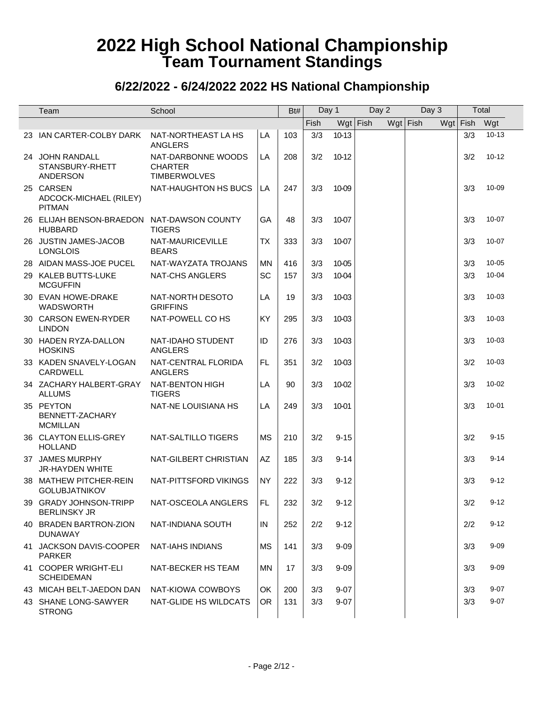| Team                                                         | School                                                      |           | Bt# | Day 1       |          | Day 2      | Day 3      | Total    |           |
|--------------------------------------------------------------|-------------------------------------------------------------|-----------|-----|-------------|----------|------------|------------|----------|-----------|
|                                                              |                                                             |           |     | <b>Fish</b> |          | $Wgt$ Fish | $Wgt$ Fish | Wgt Fish | Wgt       |
| 23 IAN CARTER-COLBY DARK                                     | NAT-NORTHEAST LA HS<br><b>ANGLERS</b>                       | LA        | 103 | 3/3         | 10-13    |            |            | 3/3      | $10 - 13$ |
| 24 JOHN RANDALL<br>STANSBURY-RHETT<br><b>ANDERSON</b>        | NAT-DARBONNE WOODS<br><b>CHARTER</b><br><b>TIMBERWOLVES</b> | LA        | 208 | 3/2         | 10-12    |            |            | 3/2      | $10 - 12$ |
| 25 CARSEN<br>ADCOCK-MICHAEL (RILEY)<br><b>PITMAN</b>         | NAT-HAUGHTON HS BUCS                                        | LA        | 247 | 3/3         | 10-09    |            |            | 3/3      | 10-09     |
| 26 ELIJAH BENSON-BRAEDON NAT-DAWSON COUNTY<br><b>HUBBARD</b> | <b>TIGERS</b>                                               | GA        | 48  | 3/3         | 10-07    |            |            | 3/3      | $10 - 07$ |
| 26 JUSTIN JAMES-JACOB<br><b>LONGLOIS</b>                     | NAT-MAURICEVILLE<br><b>BEARS</b>                            | <b>TX</b> | 333 | 3/3         | 10-07    |            |            | 3/3      | $10 - 07$ |
| 28 AIDAN MASS-JOE PUCEL                                      | NAT-WAYZATA TROJANS                                         | MN        | 416 | 3/3         | 10-05    |            |            | 3/3      | $10 - 05$ |
| 29 KALEB BUTTS-LUKE<br><b>MCGUFFIN</b>                       | <b>NAT-CHS ANGLERS</b>                                      | SC        | 157 | 3/3         | 10-04    |            |            | 3/3      | $10 - 04$ |
| 30 EVAN HOWE-DRAKE<br>WADSWORTH                              | NAT-NORTH DESOTO<br><b>GRIFFINS</b>                         | LA        | 19  | 3/3         | 10-03    |            |            | 3/3      | $10 - 03$ |
| 30 CARSON EWEN-RYDER<br><b>LINDON</b>                        | NAT-POWELL CO HS                                            | KY        | 295 | 3/3         | 10-03    |            |            | 3/3      | $10 - 03$ |
| 30 HADEN RYZA-DALLON<br><b>HOSKINS</b>                       | NAT-IDAHO STUDENT<br><b>ANGLERS</b>                         | ID        | 276 | 3/3         | 10-03    |            |            | 3/3      | $10 - 03$ |
| 33 KADEN SNAVELY-LOGAN<br>CARDWELL                           | NAT-CENTRAL FLORIDA<br>ANGLERS                              | FL.       | 351 | 3/2         | 10-03    |            |            | 3/2      | $10 - 03$ |
| 34 ZACHARY HALBERT-GRAY<br><b>ALLUMS</b>                     | NAT-BENTON HIGH<br><b>TIGERS</b>                            | LA        | 90  | 3/3         | 10-02    |            |            | 3/3      | $10 - 02$ |
| 35 PEYTON<br>BENNETT-ZACHARY<br><b>MCMILLAN</b>              | NAT-NE LOUISIANA HS                                         | LA        | 249 | 3/3         | 10-01    |            |            | 3/3      | $10 - 01$ |
| 36 CLAYTON ELLIS-GREY<br><b>HOLLAND</b>                      | NAT-SALTILLO TIGERS                                         | <b>MS</b> | 210 | 3/2         | $9 - 15$ |            |            | 3/2      | $9 - 15$  |
| 37 JAMES MURPHY<br><b>JR-HAYDEN WHITE</b>                    | NAT-GILBERT CHRISTIAN                                       | AZ        | 185 | 3/3         | $9 - 14$ |            |            | 3/3      | $9 - 14$  |
| 38 MATHEW PITCHER-REIN<br><b>GOLUBJATNIKOV</b>               | NAT-PITTSFORD VIKINGS                                       | <b>NY</b> | 222 | 3/3         | $9 - 12$ |            |            | 3/3      | $9 - 12$  |
| 39 GRADY JOHNSON-TRIPP<br><b>BERLINSKY JR</b>                | NAT-OSCEOLA ANGLERS                                         | FL        | 232 | 3/2         | $9 - 12$ |            |            | 3/2      | $9 - 12$  |
| 40 BRADEN BARTRON-ZION<br><b>DUNAWAY</b>                     | NAT-INDIANA SOUTH                                           | IN        | 252 | 2/2         | $9 - 12$ |            |            | 2/2      | $9 - 12$  |
| 41 JACKSON DAVIS-COOPER<br><b>PARKER</b>                     | NAT-IAHS INDIANS                                            | <b>MS</b> | 141 | 3/3         | $9 - 09$ |            |            | 3/3      | $9 - 09$  |
| 41 COOPER WRIGHT-ELI<br><b>SCHEIDEMAN</b>                    | NAT-BECKER HS TEAM                                          | ΜN        | 17  | 3/3         | $9 - 09$ |            |            | 3/3      | $9 - 09$  |
| 43 MICAH BELT-JAEDON DAN                                     | NAT-KIOWA COWBOYS                                           | OK        | 200 | 3/3         | $9 - 07$ |            |            | 3/3      | $9 - 07$  |
| 43 SHANE LONG-SAWYER<br><b>STRONG</b>                        | NAT-GLIDE HS WILDCATS                                       | <b>OR</b> | 131 | 3/3         | $9 - 07$ |            |            | 3/3      | $9 - 07$  |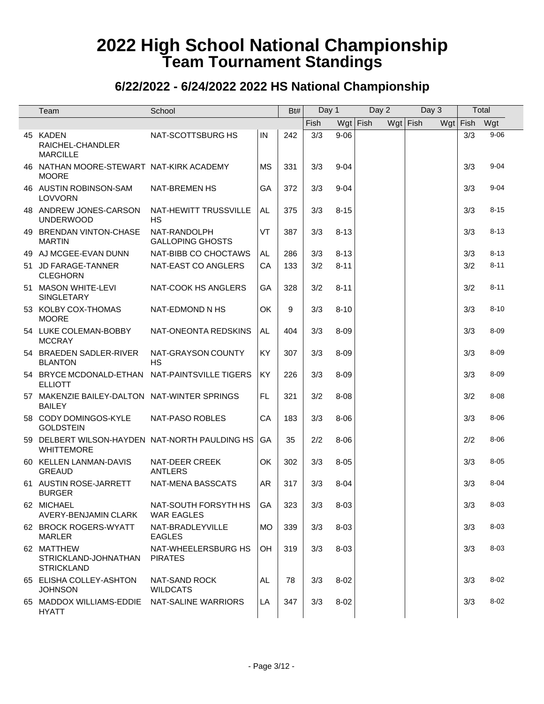| Team                                                                | School                                    |           | Bt# | Day 1 |          | Day 2      | Day 3      | Total    |          |
|---------------------------------------------------------------------|-------------------------------------------|-----------|-----|-------|----------|------------|------------|----------|----------|
|                                                                     |                                           |           |     | Fish  |          | $Wgt$ Fish | $Wgt$ Fish | Wgt Fish | Wgt      |
| 45 KADEN<br>RAICHEL-CHANDLER<br><b>MARCILLE</b>                     | NAT-SCOTTSBURG HS                         | IN        | 242 | 3/3   | $9 - 06$ |            |            | 3/3      | $9 - 06$ |
| 46 NATHAN MOORE-STEWART NAT-KIRK ACADEMY<br><b>MOORE</b>            |                                           | <b>MS</b> | 331 | 3/3   | $9 - 04$ |            |            | 3/3      | $9 - 04$ |
| 46 AUSTIN ROBINSON-SAM<br><b>LOVVORN</b>                            | <b>NAT-BREMEN HS</b>                      | GA        | 372 | 3/3   | $9 - 04$ |            |            | 3/3      | $9 - 04$ |
| 48 ANDREW JONES-CARSON<br><b>UNDERWOOD</b>                          | NAT-HEWITT TRUSSVILLE<br>НS               | AL        | 375 | 3/3   | $8 - 15$ |            |            | 3/3      | $8 - 15$ |
| 49 BRENDAN VINTON-CHASE<br><b>MARTIN</b>                            | NAT-RANDOLPH<br><b>GALLOPING GHOSTS</b>   | VT        | 387 | 3/3   | $8 - 13$ |            |            | 3/3      | $8 - 13$ |
| 49 AJ MCGEE-EVAN DUNN                                               | NAT-BIBB CO CHOCTAWS                      | AL        | 286 | 3/3   | $8 - 13$ |            |            | 3/3      | $8 - 13$ |
| 51 JD FARAGE-TANNER<br><b>CLEGHORN</b>                              | NAT-EAST CO ANGLERS                       | CA        | 133 | 3/2   | $8 - 11$ |            |            | 3/2      | $8 - 11$ |
| 51 MASON WHITE-LEVI<br>SINGLETARY                                   | NAT-COOK HS ANGLERS                       | GA        | 328 | 3/2   | $8 - 11$ |            |            | 3/2      | $8 - 11$ |
| 53 KOLBY COX-THOMAS<br><b>MOORE</b>                                 | NAT-EDMOND N HS                           | OK        | 9   | 3/3   | $8 - 10$ |            |            | 3/3      | $8 - 10$ |
| 54 LUKE COLEMAN-BOBBY<br><b>MCCRAY</b>                              | NAT-ONEONTA REDSKINS                      | AL        | 404 | 3/3   | $8 - 09$ |            |            | 3/3      | $8 - 09$ |
| 54 BRAEDEN SADLER-RIVER<br><b>BLANTON</b>                           | NAT-GRAYSON COUNTY<br><b>HS</b>           | KY        | 307 | 3/3   | $8 - 09$ |            |            | 3/3      | $8 - 09$ |
| 54 BRYCE MCDONALD-ETHAN NAT-PAINTSVILLE TIGERS<br><b>ELLIOTT</b>    |                                           | KY        | 226 | 3/3   | $8 - 09$ |            |            | 3/3      | $8 - 09$ |
| 57 MAKENZIE BAILEY-DALTON NAT-WINTER SPRINGS<br><b>BAILEY</b>       |                                           | FL.       | 321 | 3/2   | $8 - 08$ |            |            | 3/2      | $8 - 08$ |
| 58 CODY DOMINGOS-KYLE<br><b>GOLDSTEIN</b>                           | NAT-PASO ROBLES                           | CA        | 183 | 3/3   | $8 - 06$ |            |            | 3/3      | $8 - 06$ |
| 59 DELBERT WILSON-HAYDEN NAT-NORTH PAULDING HS<br><b>WHITTEMORE</b> |                                           | GA        | 35  | 2/2   | $8 - 06$ |            |            | 2/2      | $8 - 06$ |
| 60 KELLEN LANMAN-DAVIS<br><b>GREAUD</b>                             | NAT-DEER CREEK<br><b>ANTLERS</b>          | OK        | 302 | 3/3   | $8 - 05$ |            |            | 3/3      | $8 - 05$ |
| 61 AUSTIN ROSE-JARRETT<br><b>BURGER</b>                             | NAT-MENA BASSCATS                         | <b>AR</b> | 317 | 3/3   | $8 - 04$ |            |            | 3/3      | $8 - 04$ |
| 62 MICHAEL<br>AVERY-BENJAMIN CLARK                                  | NAT-SOUTH FORSYTH HS<br><b>WAR EAGLES</b> | GA        | 323 | 3/3   | $8 - 03$ |            |            | 3/3      | $8 - 03$ |
| 62 BROCK ROGERS-WYATT<br><b>MARLER</b>                              | NAT-BRADLEYVILLE<br><b>EAGLES</b>         | <b>MO</b> | 339 | 3/3   | $8 - 03$ |            |            | 3/3      | $8 - 03$ |
| 62 MATTHEW<br>STRICKLAND-JOHNATHAN<br><b>STRICKLAND</b>             | NAT-WHEELERSBURG HS<br><b>PIRATES</b>     | <b>OH</b> | 319 | 3/3   | $8 - 03$ |            |            | 3/3      | $8 - 03$ |
| 65 ELISHA COLLEY-ASHTON<br><b>JOHNSON</b>                           | NAT-SAND ROCK<br><b>WILDCATS</b>          | AL.       | 78  | 3/3   | $8 - 02$ |            |            | 3/3      | $8 - 02$ |
| 65 MADDOX WILLIAMS-EDDIE<br><b>HYATT</b>                            | NAT-SALINE WARRIORS                       | LA        | 347 | 3/3   | $8 - 02$ |            |            | 3/3      | $8 - 02$ |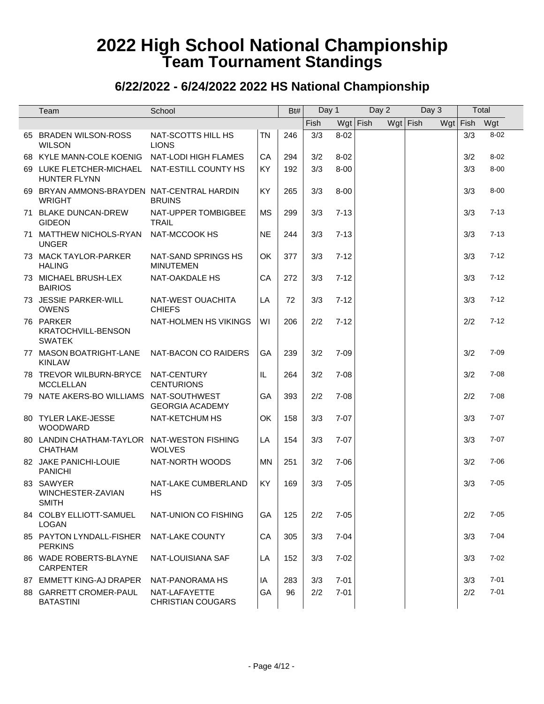| Team                                                          | School                                    |           | Bt# | Day 1 |          | Day 2      | Day 3      | Total        |          |
|---------------------------------------------------------------|-------------------------------------------|-----------|-----|-------|----------|------------|------------|--------------|----------|
|                                                               |                                           |           |     | Fish  |          | $Wgt$ Fish | $Wgt$ Fish | Wgt Fish Wgt |          |
| 65 BRADEN WILSON-ROSS<br><b>WILSON</b>                        | NAT-SCOTTS HILL HS<br><b>LIONS</b>        | <b>TN</b> | 246 | 3/3   | $8 - 02$ |            |            | 3/3          | $8 - 02$ |
| 68 KYLE MANN-COLE KOENIG                                      | NAT-LODI HIGH FLAMES                      | CA        | 294 | 3/2   | $8 - 02$ |            |            | 3/2          | $8 - 02$ |
| 69 LUKE FLETCHER-MICHAEL NAT-ESTILL COUNTY HS<br>HUNTER FLYNN |                                           | <b>KY</b> | 192 | 3/3   | $8 - 00$ |            |            | 3/3          | $8 - 00$ |
| 69 BRYAN AMMONS-BRAYDEN NAT-CENTRAL HARDIN<br><b>WRIGHT</b>   | <b>BRUINS</b>                             | KY        | 265 | 3/3   | $8 - 00$ |            |            | 3/3          | $8 - 00$ |
| 71 BLAKE DUNCAN-DREW<br><b>GIDEON</b>                         | NAT-UPPER TOMBIGBEE<br><b>TRAIL</b>       | <b>MS</b> | 299 | 3/3   | $7 - 13$ |            |            | 3/3          | $7 - 13$ |
| 71 MATTHEW NICHOLS-RYAN<br><b>UNGER</b>                       | NAT-MCCOOK HS                             | <b>NE</b> | 244 | 3/3   | $7 - 13$ |            |            | 3/3          | $7 - 13$ |
| 73 MACK TAYLOR-PARKER<br><b>HALING</b>                        | NAT-SAND SPRINGS HS<br><b>MINUTEMEN</b>   | OK        | 377 | 3/3   | $7 - 12$ |            |            | 3/3          | $7 - 12$ |
| 73 MICHAEL BRUSH-LEX<br><b>BAIRIOS</b>                        | NAT-OAKDALE HS                            | CA        | 272 | 3/3   | $7 - 12$ |            |            | 3/3          | $7 - 12$ |
| 73 JESSIE PARKER-WILL<br><b>OWENS</b>                         | NAT-WEST OUACHITA<br><b>CHIEFS</b>        | LA        | 72  | 3/3   | $7 - 12$ |            |            | 3/3          | $7 - 12$ |
| 76 PARKER<br>KRATOCHVILL-BENSON<br><b>SWATEK</b>              | NAT-HOLMEN HS VIKINGS                     | WI        | 206 | 2/2   | $7 - 12$ |            |            | 2/2          | $7 - 12$ |
| 77 MASON BOATRIGHT-LANE<br><b>KINLAW</b>                      | NAT-BACON CO RAIDERS                      | GA        | 239 | 3/2   | $7 - 09$ |            |            | 3/2          | $7 - 09$ |
| 78 TREVOR WILBURN-BRYCE<br><b>MCCLELLAN</b>                   | NAT-CENTURY<br><b>CENTURIONS</b>          | IL        | 264 | 3/2   | $7 - 08$ |            |            | 3/2          | $7 - 08$ |
| 79 NATE AKERS-BO WILLIAMS NAT-SOUTHWEST                       | <b>GEORGIA ACADEMY</b>                    | GA        | 393 | 2/2   | $7 - 08$ |            |            | 2/2          | $7 - 08$ |
| 80 TYLER LAKE-JESSE<br>WOODWARD                               | NAT-KETCHUM HS                            | OK        | 158 | 3/3   | $7 - 07$ |            |            | 3/3          | $7 - 07$ |
| 80 LANDIN CHATHAM-TAYLOR NAT-WESTON FISHING<br><b>CHATHAM</b> | <b>WOLVES</b>                             | LA        | 154 | 3/3   | $7 - 07$ |            |            | 3/3          | $7 - 07$ |
| 82 JAKE PANICHI-LOUIE<br><b>PANICHI</b>                       | NAT-NORTH WOODS                           | <b>MN</b> | 251 | 3/2   | $7 - 06$ |            |            | 3/2          | $7 - 06$ |
| 83 SAWYER<br>WINCHESTER-ZAVIAN<br><b>SMITH</b>                | NAT-LAKE CUMBERLAND<br><b>HS</b>          | <b>KY</b> | 169 | 3/3   | $7 - 05$ |            |            | 3/3          | $7 - 05$ |
| 84 COLBY ELLIOTT-SAMUEL<br><b>LOGAN</b>                       | NAT-UNION CO FISHING                      | GA        | 125 | 2/2   | $7 - 05$ |            |            | 2/2          | $7 - 05$ |
| 85 PAYTON LYNDALL-FISHER<br><b>PERKINS</b>                    | NAT-LAKE COUNTY                           | CA        | 305 | 3/3   | $7 - 04$ |            |            | 3/3          | $7 - 04$ |
| 86 WADE ROBERTS-BLAYNE<br><b>CARPENTER</b>                    | NAT-LOUISIANA SAF                         | LA        | 152 | 3/3   | $7 - 02$ |            |            | 3/3          | $7 - 02$ |
| 87 EMMETT KING-AJ DRAPER                                      | NAT-PANORAMA HS                           | IA        | 283 | 3/3   | $7 - 01$ |            |            | 3/3          | $7 - 01$ |
| 88 GARRETT CROMER-PAUL<br><b>BATASTINI</b>                    | NAT-LAFAYETTE<br><b>CHRISTIAN COUGARS</b> | GA        | 96  | 2/2   | $7 - 01$ |            |            | 2/2          | $7 - 01$ |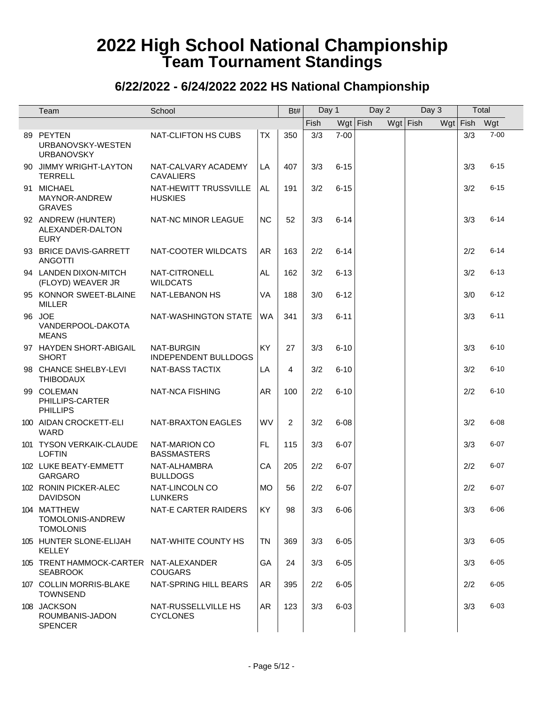| Team                                                      | School                                    |           | Bt#            | Day 1 |          | Day 2      | Day 3      | Total      |          |
|-----------------------------------------------------------|-------------------------------------------|-----------|----------------|-------|----------|------------|------------|------------|----------|
|                                                           |                                           |           |                | Fish  |          | $Wgt$ Fish | $Wgt$ Fish | $Wgt$ Fish | Wgt      |
| 89 PEYTEN<br>URBANOVSKY-WESTEN<br><b>URBANOVSKY</b>       | NAT-CLIFTON HS CUBS                       | TX        | 350            | 3/3   | $7 - 00$ |            |            | 3/3        | $7 - 00$ |
| 90 JIMMY WRIGHT-LAYTON<br><b>TERRELL</b>                  | NAT-CALVARY ACADEMY<br><b>CAVALIERS</b>   | LA        | 407            | 3/3   | $6 - 15$ |            |            | 3/3        | $6 - 15$ |
| 91 MICHAEL<br>MAYNOR-ANDREW<br><b>GRAVES</b>              | NAT-HEWITT TRUSSVILLE<br><b>HUSKIES</b>   | AL.       | 191            | 3/2   | $6 - 15$ |            |            | 3/2        | $6 - 15$ |
| 92 ANDREW (HUNTER)<br>ALEXANDER-DALTON<br><b>EURY</b>     | NAT-NC MINOR LEAGUE                       | <b>NC</b> | 52             | 3/3   | $6 - 14$ |            |            | 3/3        | $6 - 14$ |
| 93 BRICE DAVIS-GARRETT<br><b>ANGOTTI</b>                  | NAT-COOTER WILDCATS                       | AR.       | 163            | 2/2   | $6 - 14$ |            |            | 2/2        | $6 - 14$ |
| 94 LANDEN DIXON-MITCH<br>(FLOYD) WEAVER JR                | NAT-CITRONELL<br><b>WILDCATS</b>          | AL.       | 162            | 3/2   | $6 - 13$ |            |            | 3/2        | $6 - 13$ |
| 95 KONNOR SWEET-BLAINE<br><b>MILLER</b>                   | NAT-LEBANON HS                            | <b>VA</b> | 188            | 3/0   | $6 - 12$ |            |            | 3/0        | $6 - 12$ |
| 96 JOE<br>VANDERPOOL-DAKOTA<br><b>MEANS</b>               | NAT-WASHINGTON STATE                      | WA        | 341            | 3/3   | $6 - 11$ |            |            | 3/3        | $6 - 11$ |
| 97 HAYDEN SHORT-ABIGAIL<br><b>SHORT</b>                   | NAT-BURGIN<br><b>INDEPENDENT BULLDOGS</b> | KY        | 27             | 3/3   | $6 - 10$ |            |            | 3/3        | $6 - 10$ |
| 98 CHANCE SHELBY-LEVI<br><b>THIBODAUX</b>                 | <b>NAT-BASS TACTIX</b>                    | LA        | 4              | 3/2   | $6 - 10$ |            |            | 3/2        | $6 - 10$ |
| 99 COLEMAN<br>PHILLIPS-CARTER<br><b>PHILLIPS</b>          | NAT-NCA FISHING                           | AR.       | 100            | 2/2   | $6 - 10$ |            |            | 2/2        | $6 - 10$ |
| 100 AIDAN CROCKETT-ELI<br>WARD                            | NAT-BRAXTON EAGLES                        | WV        | $\overline{2}$ | 3/2   | $6 - 08$ |            |            | 3/2        | $6 - 08$ |
| 101 TYSON VERKAIK-CLAUDE<br><b>LOFTIN</b>                 | NAT-MARION CO<br><b>BASSMASTERS</b>       | FL.       | 115            | 3/3   | $6 - 07$ |            |            | 3/3        | $6 - 07$ |
| 102 LUKE BEATY-EMMETT<br><b>GARGARO</b>                   | NAT-ALHAMBRA<br><b>BULLDOGS</b>           | CA        | 205            | 2/2   | $6 - 07$ |            |            | 2/2        | $6 - 07$ |
| 102 RONIN PICKER-ALEC<br><b>DAVIDSON</b>                  | NAT-LINCOLN CO<br><b>LUNKERS</b>          | <b>MO</b> | 56             | 2/2   | $6 - 07$ |            |            | 2/2        | $6 - 07$ |
| 104 MATTHEW<br>TOMOLONIS-ANDREW<br><b>TOMOLONIS</b>       | NAT-E CARTER RAIDERS                      | KY        | 98             | 3/3   | $6 - 06$ |            |            | 3/3        | $6 - 06$ |
| 105 HUNTER SLONE-ELIJAH<br><b>KELLEY</b>                  | NAT-WHITE COUNTY HS                       | <b>TN</b> | 369            | 3/3   | $6 - 05$ |            |            | 3/3        | $6 - 05$ |
| 105 TRENT HAMMOCK-CARTER NAT-ALEXANDER<br><b>SEABROOK</b> | <b>COUGARS</b>                            | GA        | 24             | 3/3   | $6 - 05$ |            |            | 3/3        | $6 - 05$ |
| 107 COLLIN MORRIS-BLAKE<br><b>TOWNSEND</b>                | NAT-SPRING HILL BEARS                     | AR        | 395            | 2/2   | $6 - 05$ |            |            | 2/2        | $6 - 05$ |
| 108 JACKSON<br>ROUMBANIS-JADON<br><b>SPENCER</b>          | NAT-RUSSELLVILLE HS<br><b>CYCLONES</b>    | AR        | 123            | 3/3   | $6 - 03$ |            |            | 3/3        | $6 - 03$ |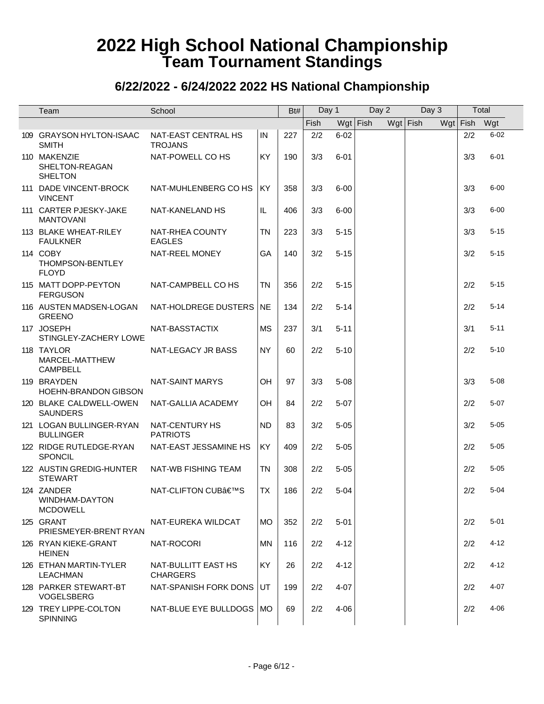| Team                                             | School                                 |           | Bt# | Day 1 |          | Day 2      | Day 3      | Total      |          |
|--------------------------------------------------|----------------------------------------|-----------|-----|-------|----------|------------|------------|------------|----------|
|                                                  |                                        |           |     | Fish  |          | $Wgt$ Fish | $Wgt$ Fish | $Wgt$ Fish | Wgt      |
| 109 GRAYSON HYLTON-ISAAC<br><b>SMITH</b>         | NAT-EAST CENTRAL HS<br><b>TROJANS</b>  | IN        | 227 | 2/2   | $6 - 02$ |            |            | 2/2        | $6 - 02$ |
| 110 MAKENZIE<br>SHELTON-REAGAN<br><b>SHELTON</b> | NAT-POWELL CO HS                       | <b>KY</b> | 190 | 3/3   | $6 - 01$ |            |            | 3/3        | $6 - 01$ |
| 111 DADE VINCENT-BROCK<br><b>VINCENT</b>         | NAT-MUHLENBERG CO HS                   | <b>KY</b> | 358 | 3/3   | $6 - 00$ |            |            | 3/3        | $6 - 00$ |
| 111 CARTER PJESKY-JAKE<br><b>MANTOVANI</b>       | NAT-KANELAND HS                        | IL.       | 406 | 3/3   | $6 - 00$ |            |            | 3/3        | $6 - 00$ |
| 113 BLAKE WHEAT-RILEY<br><b>FAULKNER</b>         | NAT-RHEA COUNTY<br><b>EAGLES</b>       | <b>TN</b> | 223 | 3/3   | $5 - 15$ |            |            | 3/3        | $5 - 15$ |
| 114 COBY<br>THOMPSON-BENTLEY<br><b>FLOYD</b>     | NAT-REEL MONEY                         | GA        | 140 | 3/2   | $5 - 15$ |            |            | 3/2        | $5 - 15$ |
| 115 MATT DOPP-PEYTON<br><b>FERGUSON</b>          | NAT-CAMPBELL CO HS                     | TN        | 356 | 2/2   | $5 - 15$ |            |            | 2/2        | $5 - 15$ |
| 116 AUSTEN MADSEN-LOGAN<br><b>GREENO</b>         | NAT-HOLDREGE DUSTERS                   | NE.       | 134 | 2/2   | $5 - 14$ |            |            | 2/2        | $5 - 14$ |
| 117 JOSEPH<br>STINGLEY-ZACHERY LOWE              | NAT-BASSTACTIX                         | MS        | 237 | 3/1   | $5 - 11$ |            |            | 3/1        | $5 - 11$ |
| 118 TAYLOR<br>MARCEL-MATTHEW<br><b>CAMPBELL</b>  | NAT-LEGACY JR BASS                     | <b>NY</b> | 60  | 2/2   | $5 - 10$ |            |            | 2/2        | $5 - 10$ |
| 119 BRAYDEN<br><b>HOEHN-BRANDON GIBSON</b>       | <b>NAT-SAINT MARYS</b>                 | OH        | 97  | 3/3   | $5 - 08$ |            |            | 3/3        | $5 - 08$ |
| 120 BLAKE CALDWELL-OWEN<br><b>SAUNDERS</b>       | NAT-GALLIA ACADEMY                     | OH        | 84  | 2/2   | $5 - 07$ |            |            | 2/2        | $5 - 07$ |
| 121 LOGAN BULLINGER-RYAN<br><b>BULLINGER</b>     | NAT-CENTURY HS<br><b>PATRIOTS</b>      | <b>ND</b> | 83  | 3/2   | $5 - 05$ |            |            | 3/2        | $5 - 05$ |
| 122 RIDGE RUTLEDGE-RYAN<br>SPONCIL               | NAT-EAST JESSAMINE HS                  | KY        | 409 | 2/2   | $5 - 05$ |            |            | 2/2        | $5 - 05$ |
| 122 AUSTIN GREDIG-HUNTER<br><b>STEWART</b>       | NAT-WB FISHING TEAM                    | <b>TN</b> | 308 | 2/2   | $5 - 05$ |            |            | 2/2        | $5 - 05$ |
| 124 ZANDER<br>WINDHAM-DAYTON<br><b>MCDOWELL</b>  | NAT-CLIFTON CUB'S                      | <b>TX</b> | 186 | 2/2   | $5 - 04$ |            |            | 2/2        | $5 - 04$ |
| 125 GRANT<br>PRIESMEYER-BRENT RYAN               | NAT-EUREKA WILDCAT                     | <b>MO</b> | 352 | 2/2   | $5 - 01$ |            |            | 2/2        | $5 - 01$ |
| 126 RYAN KIEKE-GRANT<br><b>HEINEN</b>            | NAT-ROCORI                             | <b>MN</b> | 116 | 2/2   | $4 - 12$ |            |            | 2/2        | $4 - 12$ |
| 126 ETHAN MARTIN-TYLER<br><b>LEACHMAN</b>        | NAT-BULLITT EAST HS<br><b>CHARGERS</b> | <b>KY</b> | 26  | 2/2   | $4 - 12$ |            |            | 2/2        | $4 - 12$ |
| 128 PARKER STEWART-BT<br><b>VOGELSBERG</b>       | NAT-SPANISH FORK DONS UT               |           | 199 | 2/2   | $4 - 07$ |            |            | 2/2        | $4 - 07$ |
| 129 TREY LIPPE-COLTON<br><b>SPINNING</b>         | NAT-BLUE EYE BULLDOGS   MO             |           | 69  | 2/2   | 4-06     |            |            | 2/2        | $4 - 06$ |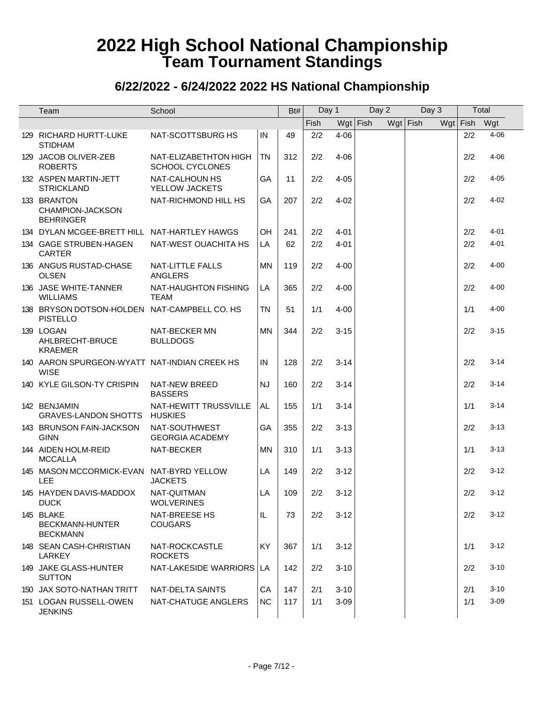| Team                                                            | School                                          |           | Bt# | Day 1 |          | Day 2      | Day 3      | Total      |          |
|-----------------------------------------------------------------|-------------------------------------------------|-----------|-----|-------|----------|------------|------------|------------|----------|
|                                                                 |                                                 |           |     | Fish  |          | $Wgt$ Fish | $Wgt$ Fish | $Wgt$ Fish | Wgt      |
| 129 RICHARD HURTT-LUKE<br><b>STIDHAM</b>                        | NAT-SCOTTSBURG HS                               | IN        | 49  | 2/2   | $4 - 06$ |            |            | 2/2        | $4 - 06$ |
| 129 JACOB OLIVER-ZEB<br><b>ROBERTS</b>                          | NAT-ELIZABETHTON HIGH<br><b>SCHOOL CYCLONES</b> | <b>TN</b> | 312 | 2/2   | $4 - 06$ |            |            | 2/2        | $4 - 06$ |
| 132 ASPEN MARTIN-JETT<br><b>STRICKLAND</b>                      | NAT-CALHOUN HS<br>YELLOW JACKETS                | GA        | 11  | 2/2   | $4 - 05$ |            |            | 2/2        | $4 - 05$ |
| 133 BRANTON<br>CHAMPION-JACKSON<br><b>BEHRINGER</b>             | NAT-RICHMOND HILL HS                            | GA        | 207 | 2/2   | $4 - 02$ |            |            | 2/2        | $4 - 02$ |
| 134 DYLAN MCGEE-BRETT HILL NAT-HARTLEY HAWGS                    |                                                 | OH        | 241 | 2/2   | $4 - 01$ |            |            | 2/2        | $4 - 01$ |
| 134 GAGE STRUBEN-HAGEN<br><b>CARTER</b>                         | NAT-WEST OUACHITA HS                            | LA        | 62  | 2/2   | $4 - 01$ |            |            | 2/2        | $4 - 01$ |
| 136 ANGUS RUSTAD-CHASE<br><b>OLSEN</b>                          | <b>NAT-LITTLE FALLS</b><br><b>ANGLERS</b>       | <b>MN</b> | 119 | 2/2   | $4 - 00$ |            |            | 2/2        | $4 - 00$ |
| 136 JASE WHITE-TANNER<br><b>WILLIAMS</b>                        | <b>NAT-HAUGHTON FISHING</b><br><b>TEAM</b>      | LA        | 365 | 2/2   | $4 - 00$ |            |            | 2/2        | $4 - 00$ |
| 138 BRYSON DOTSON-HOLDEN NAT-CAMPBELL CO. HS<br><b>PISTELLO</b> |                                                 | <b>TN</b> | 51  | 1/1   | $4 - 00$ |            |            | 1/1        | $4 - 00$ |
| 139 LOGAN<br>AHLBRECHT-BRUCE<br><b>KRAEMER</b>                  | <b>NAT-BECKER MN</b><br><b>BULLDOGS</b>         | <b>MN</b> | 344 | 2/2   | $3 - 15$ |            |            | 2/2        | $3 - 15$ |
| 140 AARON SPURGEON-WYATT NAT-INDIAN CREEK HS<br><b>WISE</b>     |                                                 | IN        | 128 | 2/2   | $3 - 14$ |            |            | 2/2        | $3 - 14$ |
| 140 KYLE GILSON-TY CRISPIN                                      | NAT-NEW BREED<br><b>BASSERS</b>                 | <b>NJ</b> | 160 | 2/2   | $3 - 14$ |            |            | 2/2        | $3 - 14$ |
| 142 BENJAMIN<br><b>GRAVES-LANDON SHOTTS</b>                     | NAT-HEWITT TRUSSVILLE<br><b>HUSKIES</b>         | AL        | 155 | 1/1   | $3 - 14$ |            |            | 1/1        | $3 - 14$ |
| 143 BRUNSON FAIN-JACKSON<br><b>GINN</b>                         | NAT-SOUTHWEST<br><b>GEORGIA ACADEMY</b>         | GA        | 355 | 2/2   | $3 - 13$ |            |            | 2/2        | $3 - 13$ |
| 144 AIDEN HOLM-REID<br><b>MCCALLA</b>                           | NAT-BECKER                                      | ΜN        | 310 | 1/1   | $3 - 13$ |            |            | 1/1        | $3 - 13$ |
| 145 MASON MCCORMICK-EVAN NAT-BYRD YELLOW<br>LEE                 | <b>JACKETS</b>                                  | LA        | 149 | 2/2   | $3 - 12$ |            |            | 2/2        | $3 - 12$ |
| 145 HAYDEN DAVIS-MADDOX<br><b>DUCK</b>                          | NAT-QUITMAN<br><b>WOLVERINES</b>                | LA        | 109 | 2/2   | $3 - 12$ |            |            | 2/2        | $3 - 12$ |
| 145 BLAKE<br><b>BECKMANN-HUNTER</b><br><b>BECKMANN</b>          | NAT-BREESE HS<br><b>COUGARS</b>                 | IL        | 73  | 2/2   | $3 - 12$ |            |            | 2/2        | $3 - 12$ |
| 148 SEAN CASH-CHRISTIAN<br>LARKEY                               | NAT-ROCKCASTLE<br><b>ROCKETS</b>                | KY        | 367 | 1/1   | $3 - 12$ |            |            | 1/1        | $3 - 12$ |
| 149 JAKE GLASS-HUNTER<br><b>SUTTON</b>                          | NAT-LAKESIDE WARRIORS   LA                      |           | 142 | 2/2   | $3 - 10$ |            |            | 2/2        | $3 - 10$ |
| 150 JAX SOTO-NATHAN TRITT                                       | NAT-DELTA SAINTS                                | CA        | 147 | 2/1   | $3 - 10$ |            |            | 2/1        | $3 - 10$ |
| 151 LOGAN RUSSELL-OWEN<br><b>JENKINS</b>                        | NAT-CHATUGE ANGLERS                             | <b>NC</b> | 117 | 1/1   | $3 - 09$ |            |            | 1/1        | $3 - 09$ |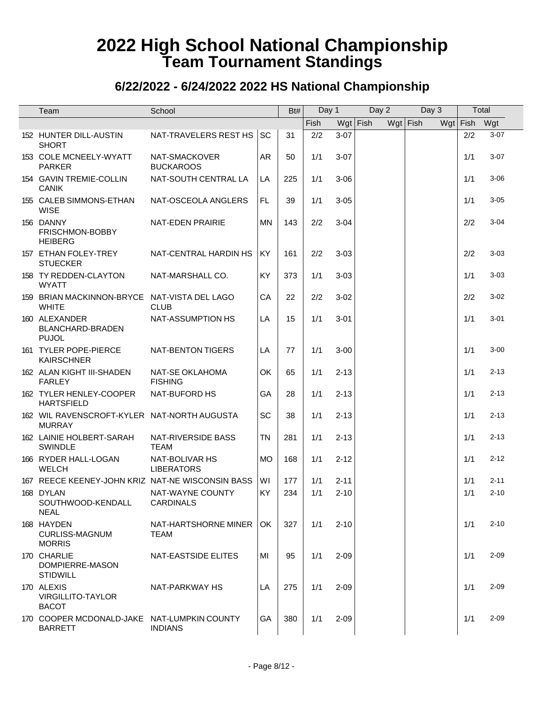| Team                                                          | School                              |           | Bt# | Day 1 |            | Day 2 | Day 3    | Total      |          |
|---------------------------------------------------------------|-------------------------------------|-----------|-----|-------|------------|-------|----------|------------|----------|
|                                                               |                                     |           |     | Fish  | $Wgt$ Fish |       | Wgt Fish | $Wgt$ Fish | Wgt      |
| 152 HUNTER DILL-AUSTIN<br><b>SHORT</b>                        | NAT-TRAVELERS REST HS               | <b>SC</b> | 31  | 2/2   | $3 - 07$   |       |          | 2/2        | $3 - 07$ |
| 153 COLE MCNEELY-WYATT<br><b>PARKER</b>                       | NAT-SMACKOVER<br><b>BUCKAROOS</b>   | <b>AR</b> | 50  | 1/1   | $3-07$     |       |          | 1/1        | $3 - 07$ |
| 154 GAVIN TREMIE-COLLIN<br><b>CANIK</b>                       | NAT-SOUTH CENTRAL LA                | LA        | 225 | 1/1   | $3 - 06$   |       |          | 1/1        | $3 - 06$ |
| 155 CALEB SIMMONS-ETHAN<br><b>WISE</b>                        | NAT-OSCEOLA ANGLERS                 | FL.       | 39  | 1/1   | $3 - 05$   |       |          | 1/1        | $3 - 05$ |
| 156 DANNY<br>FRISCHMON-BOBBY<br><b>HEIBERG</b>                | NAT-EDEN PRAIRIE                    | <b>MN</b> | 143 | 2/2   | $3 - 04$   |       |          | 2/2        | $3 - 04$ |
| 157 ETHAN FOLEY-TREY<br><b>STUECKER</b>                       | NAT-CENTRAL HARDIN HS               | <b>KY</b> | 161 | 2/2   | $3 - 03$   |       |          | 2/2        | $3 - 03$ |
| 158 TY REDDEN-CLAYTON<br><b>WYATT</b>                         | NAT-MARSHALL CO.                    | KY        | 373 | 1/1   | $3 - 03$   |       |          | 1/1        | $3 - 03$ |
| 159 BRIAN MACKINNON-BRYCE NAT-VISTA DEL LAGO<br><b>WHITE</b>  | <b>CLUB</b>                         | CA        | 22  | 2/2   | $3 - 02$   |       |          | 2/2        | $3 - 02$ |
| 160 ALEXANDER<br>BLANCHARD-BRADEN<br><b>PUJOL</b>             | NAT-ASSUMPTION HS                   | LA        | 15  | 1/1   | $3 - 01$   |       |          | 1/1        | $3 - 01$ |
| 161 TYLER POPE-PIERCE<br><b>KAIRSCHNER</b>                    | NAT-BENTON TIGERS                   | LA        | 77  | 1/1   | $3 - 00$   |       |          | 1/1        | $3 - 00$ |
| 162 ALAN KIGHT III-SHADEN<br><b>FARLEY</b>                    | NAT-SE OKLAHOMA<br><b>FISHING</b>   | OK        | 65  | 1/1   | $2 - 13$   |       |          | 1/1        | $2 - 13$ |
| 162 TYLER HENLEY-COOPER<br><b>HARTSFIELD</b>                  | NAT-BUFORD HS                       | GA        | 28  | 1/1   | $2 - 13$   |       |          | 1/1        | $2 - 13$ |
| 162 WIL RAVENSCROFT-KYLER NAT-NORTH AUGUSTA<br><b>MURRAY</b>  |                                     | SC        | 38  | 1/1   | $2 - 13$   |       |          | 1/1        | $2 - 13$ |
| 162 LAINIE HOLBERT-SARAH<br><b>SWINDLE</b>                    | NAT-RIVERSIDE BASS<br><b>TEAM</b>   | <b>TN</b> | 281 | 1/1   | $2 - 13$   |       |          | 1/1        | $2 - 13$ |
| 166 RYDER HALL-LOGAN<br><b>WELCH</b>                          | NAT-BOLIVAR HS<br><b>LIBERATORS</b> | <b>MO</b> | 168 | 1/1   | $2 - 12$   |       |          | 1/1        | $2 - 12$ |
| 167 REECE KEENEY-JOHN KRIZ NAT-NE WISCONSIN BASS              |                                     | WI        | 177 | 1/1   | $2 - 11$   |       |          | 1/1        | $2 - 11$ |
| 168 DYLAN<br>SOUTHWOOD-KENDALL<br><b>NEAL</b>                 | NAT-WAYNE COUNTY<br>CARDINALS       | KY        | 234 | 1/1   | $2 - 10$   |       |          | 1/1        | $2 - 10$ |
| 168 HAYDEN<br><b>CURLISS-MAGNUM</b><br><b>MORRIS</b>          | NAT-HARTSHORNE MINER<br>TEAM        | OK.       | 327 | 1/1   | $2 - 10$   |       |          | 1/1        | $2 - 10$ |
| 170 CHARLIE<br>DOMPIERRE-MASON<br><b>STIDWILL</b>             | <b>NAT-EASTSIDE ELITES</b>          | MI        | 95  | 1/1   | $2 - 09$   |       |          | 1/1        | $2 - 09$ |
| 170 ALEXIS<br><b>VIRGILLITO-TAYLOR</b><br><b>BACOT</b>        | NAT-PARKWAY HS                      | LA        | 275 | 1/1   | $2 - 09$   |       |          | 1/1        | $2 - 09$ |
| 170 COOPER MCDONALD-JAKE NAT-LUMPKIN COUNTY<br><b>BARRETT</b> | <b>INDIANS</b>                      | GA        | 380 | 1/1   | $2 - 09$   |       |          | 1/1        | $2 - 09$ |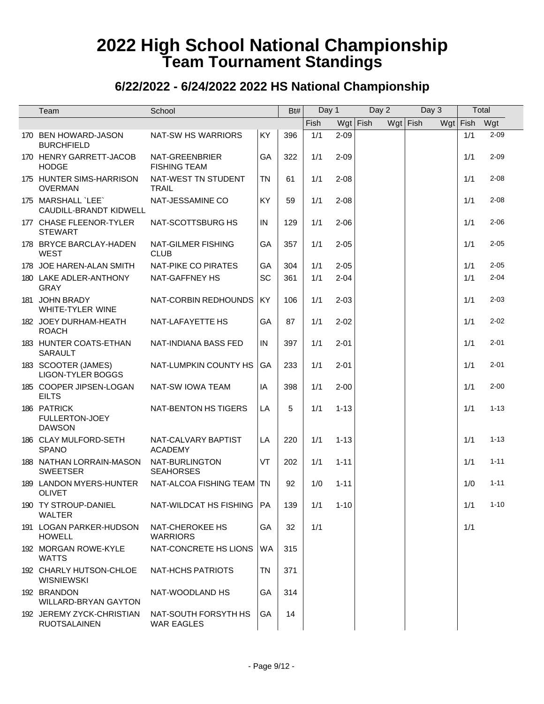| Team                                             | School                                    |           | Bt# | Day 1 |            | Day 2 | Day 3      | Total      |          |
|--------------------------------------------------|-------------------------------------------|-----------|-----|-------|------------|-------|------------|------------|----------|
|                                                  |                                           |           |     | Fish  | $Wgt$ Fish |       | $Wgt$ Fish | $Wgt$ Fish | Wgt      |
| 170 BEN HOWARD-JASON<br><b>BURCHFIELD</b>        | NAT-SW HS WARRIORS                        | KY        | 396 | 1/1   | $2 - 09$   |       |            | 1/1        | $2 - 09$ |
| 170 HENRY GARRETT-JACOB<br><b>HODGE</b>          | NAT-GREENBRIER<br><b>FISHING TEAM</b>     | GA        | 322 | 1/1   | $2 - 09$   |       |            | 1/1        | $2 - 09$ |
| 175 HUNTER SIMS-HARRISON<br><b>OVERMAN</b>       | NAT-WEST TN STUDENT<br><b>TRAIL</b>       | <b>TN</b> | 61  | 1/1   | $2 - 08$   |       |            | 1/1        | $2 - 08$ |
| 175 MARSHALL `LEE`<br>CAUDILL-BRANDT KIDWELL     | NAT-JESSAMINE CO                          | KY        | 59  | 1/1   | $2 - 08$   |       |            | 1/1        | $2 - 08$ |
| 177 CHASE FLEENOR-TYLER<br><b>STEWART</b>        | NAT-SCOTTSBURG HS                         | $\sf IN$  | 129 | 1/1   | $2 - 06$   |       |            | 1/1        | $2 - 06$ |
| 178 BRYCE BARCLAY-HADEN<br><b>WEST</b>           | NAT-GILMER FISHING<br><b>CLUB</b>         | GA        | 357 | 1/1   | $2 - 05$   |       |            | 1/1        | $2 - 05$ |
| 178 JOE HAREN-ALAN SMITH                         | NAT-PIKE CO PIRATES                       | GA        | 304 | 1/1   | $2 - 05$   |       |            | 1/1        | $2 - 05$ |
| 180 LAKE ADLER-ANTHONY<br><b>GRAY</b>            | NAT-GAFFNEY HS                            | SC        | 361 | 1/1   | $2 - 04$   |       |            | 1/1        | $2 - 04$ |
| 181 JOHN BRADY<br><b>WHITE-TYLER WINE</b>        | NAT-CORBIN REDHOUNDS                      | KY        | 106 | 1/1   | $2 - 03$   |       |            | 1/1        | $2 - 03$ |
| 182 JOEY DURHAM-HEATH<br><b>ROACH</b>            | NAT-LAFAYETTE HS                          | GA        | 87  | 1/1   | $2 - 02$   |       |            | 1/1        | $2 - 02$ |
| 183 HUNTER COATS-ETHAN<br><b>SARAULT</b>         | NAT-INDIANA BASS FED                      | IN        | 397 | 1/1   | $2 - 01$   |       |            | 1/1        | $2 - 01$ |
| 183 SCOOTER (JAMES)<br><b>LIGON-TYLER BOGGS</b>  | NAT-LUMPKIN COUNTY HS                     | GA        | 233 | 1/1   | $2 - 01$   |       |            | 1/1        | $2 - 01$ |
| 185 COOPER JIPSEN-LOGAN<br><b>EILTS</b>          | NAT-SW IOWA TEAM                          | IA        | 398 | 1/1   | $2 - 00$   |       |            | 1/1        | $2 - 00$ |
| 186 PATRICK<br>FULLERTON-JOEY<br><b>DAWSON</b>   | NAT-BENTON HS TIGERS                      | LA        | 5   | 1/1   | $1 - 13$   |       |            | 1/1        | $1 - 13$ |
| 186 CLAY MULFORD-SETH<br><b>SPANO</b>            | NAT-CALVARY BAPTIST<br><b>ACADEMY</b>     | LA        | 220 | 1/1   | $1 - 13$   |       |            | 1/1        | $1 - 13$ |
| 188 NATHAN LORRAIN-MASON<br><b>SWEETSER</b>      | NAT-BURLINGTON<br><b>SEAHORSES</b>        | VT        | 202 | 1/1   | $1 - 11$   |       |            | 1/1        | $1 - 11$ |
| 189 LANDON MYERS-HUNTER<br><b>OLIVET</b>         | NAT-ALCOA FISHING TEAM                    | <b>TN</b> | 92  | 1/0   | $1 - 11$   |       |            | 1/0        | $1 - 11$ |
| 190 TY STROUP-DANIEL<br><b>WALTER</b>            | NAT-WILDCAT HS FISHING                    | PA        | 139 | 1/1   | $1 - 10$   |       |            | 1/1        | $1 - 10$ |
| 191 LOGAN PARKER-HUDSON<br><b>HOWELL</b>         | NAT-CHEROKEE HS<br><b>WARRIORS</b>        | GA        | 32  | 1/1   |            |       |            | 1/1        |          |
| 192 MORGAN ROWE-KYLE<br><b>WATTS</b>             | NAT-CONCRETE HS LIONS                     | WA        | 315 |       |            |       |            |            |          |
| 192 CHARLY HUTSON-CHLOE<br><b>WISNIEWSKI</b>     | <b>NAT-HCHS PATRIOTS</b>                  | TN        | 371 |       |            |       |            |            |          |
| 192 BRANDON<br><b>WILLARD-BRYAN GAYTON</b>       | NAT-WOODLAND HS                           | GA        | 314 |       |            |       |            |            |          |
| 192 JEREMY ZYCK-CHRISTIAN<br><b>RUOTSALAINEN</b> | NAT-SOUTH FORSYTH HS<br><b>WAR EAGLES</b> | GA        | 14  |       |            |       |            |            |          |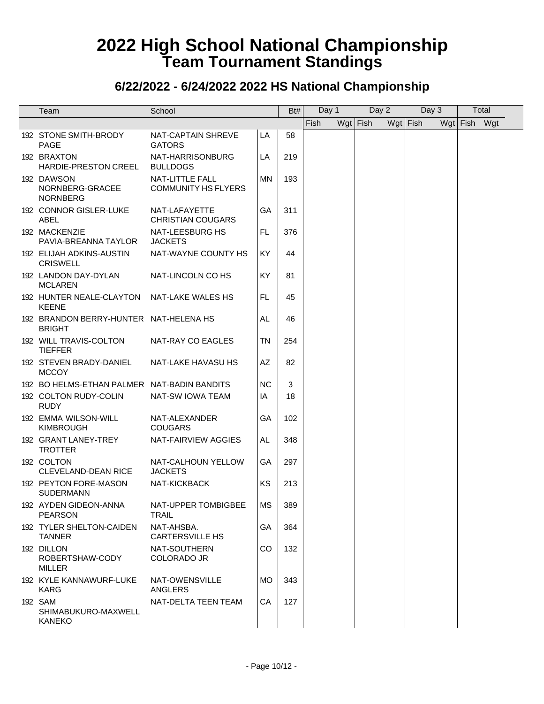| Team                                                       | School                                               |           | Bt# | Day 1 | Day 2      | Day 3    |              | Total |  |
|------------------------------------------------------------|------------------------------------------------------|-----------|-----|-------|------------|----------|--------------|-------|--|
|                                                            |                                                      |           |     | Fish  | $Wgt$ Fish | Wgt Fish | Wgt Fish Wgt |       |  |
| 192 STONE SMITH-BRODY<br><b>PAGE</b>                       | NAT-CAPTAIN SHREVE<br><b>GATORS</b>                  | LA        | 58  |       |            |          |              |       |  |
| 192 BRAXTON<br>HARDIE-PRESTON CREEL                        | NAT-HARRISONBURG<br><b>BULLDOGS</b>                  | LA        | 219 |       |            |          |              |       |  |
| 192 DAWSON<br>NORNBERG-GRACEE<br><b>NORNBERG</b>           | <b>NAT-LITTLE FALL</b><br><b>COMMUNITY HS FLYERS</b> | <b>MN</b> | 193 |       |            |          |              |       |  |
| 192 CONNOR GISLER-LUKE<br>ABEL                             | NAT-LAFAYETTE<br><b>CHRISTIAN COUGARS</b>            | GA        | 311 |       |            |          |              |       |  |
| 192 MACKENZIE<br>PAVIA-BREANNA TAYLOR                      | NAT-LEESBURG HS<br><b>JACKETS</b>                    | FL.       | 376 |       |            |          |              |       |  |
| 192 ELIJAH ADKINS-AUSTIN<br><b>CRISWELL</b>                | NAT-WAYNE COUNTY HS                                  | KY        | 44  |       |            |          |              |       |  |
| 192 LANDON DAY-DYLAN<br><b>MCLAREN</b>                     | NAT-LINCOLN CO HS                                    | <b>KY</b> | 81  |       |            |          |              |       |  |
| 192 HUNTER NEALE-CLAYTON NAT-LAKE WALES HS<br><b>KEENE</b> |                                                      | FL.       | 45  |       |            |          |              |       |  |
| 192 BRANDON BERRY-HUNTER NAT-HELENA HS<br><b>BRIGHT</b>    |                                                      | AL        | 46  |       |            |          |              |       |  |
| 192 WILL TRAVIS-COLTON<br><b>TIEFFER</b>                   | NAT-RAY CO EAGLES                                    | ΤN        | 254 |       |            |          |              |       |  |
| 192 STEVEN BRADY-DANIEL<br><b>MCCOY</b>                    | NAT-LAKE HAVASU HS                                   | AZ        | 82  |       |            |          |              |       |  |
| 192 BO HELMS-ETHAN PALMER NAT-BADIN BANDITS                |                                                      | <b>NC</b> | 3   |       |            |          |              |       |  |
| 192 COLTON RUDY-COLIN<br><b>RUDY</b>                       | NAT-SW IOWA TEAM                                     | IA        | 18  |       |            |          |              |       |  |
| 192 EMMA WILSON-WILL<br><b>KIMBROUGH</b>                   | NAT-ALEXANDER<br><b>COUGARS</b>                      | GA        | 102 |       |            |          |              |       |  |
| 192 GRANT LANEY-TREY<br><b>TROTTER</b>                     | NAT-FAIRVIEW AGGIES                                  | AL        | 348 |       |            |          |              |       |  |
| 192 COLTON<br><b>CLEVELAND-DEAN RICE</b>                   | NAT-CALHOUN YELLOW<br><b>JACKETS</b>                 | GA        | 297 |       |            |          |              |       |  |
| 192 PEYTON FORE-MASON<br><b>SUDERMANN</b>                  | <b>NAT-KICKBACK</b>                                  | KS        | 213 |       |            |          |              |       |  |
| 192 AYDEN GIDEON-ANNA<br><b>PEARSON</b>                    | NAT-UPPER TOMBIGBEE<br><b>TRAIL</b>                  | MS        | 389 |       |            |          |              |       |  |
| 192 TYLER SHELTON-CAIDEN<br><b>TANNER</b>                  | NAT-AHSBA.<br><b>CARTERSVILLE HS</b>                 | GA        | 364 |       |            |          |              |       |  |
| 192 DILLON<br>ROBERTSHAW-CODY<br><b>MILLER</b>             | NAT-SOUTHERN<br>COLORADO JR                          | <b>CO</b> | 132 |       |            |          |              |       |  |
| 192 KYLE KANNAWURF-LUKE<br><b>KARG</b>                     | NAT-OWENSVILLE<br>ANGLERS                            | MO.       | 343 |       |            |          |              |       |  |
| 192 SAM<br>SHIMABUKURO-MAXWELL<br><b>KANEKO</b>            | NAT-DELTA TEEN TEAM                                  | CA        | 127 |       |            |          |              |       |  |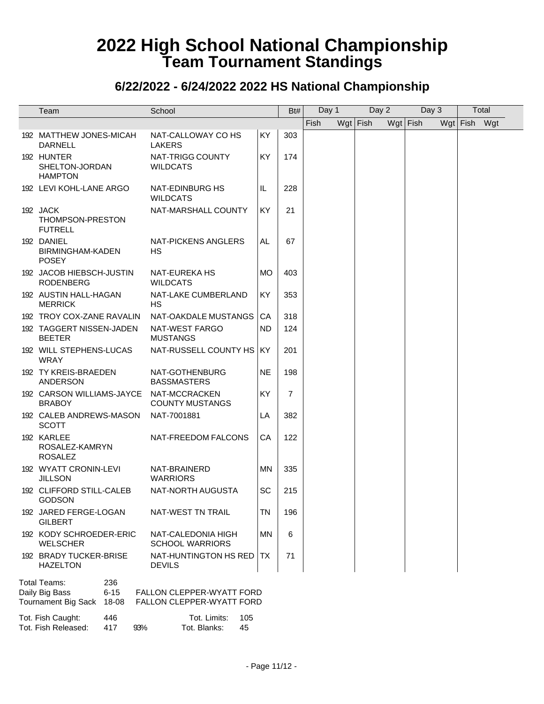### **6/22/2022 - 6/24/2022 2022 HS National Championship**

| Team                                                                           | School                                                        |           | Bt#            | Day 1 |            | Day 2 | Day 3      |              | Total |
|--------------------------------------------------------------------------------|---------------------------------------------------------------|-----------|----------------|-------|------------|-------|------------|--------------|-------|
|                                                                                |                                                               |           |                | Fish  | $Wgt$ Fish |       | $Wgt$ Fish | Wgt Fish Wgt |       |
| 192 MATTHEW JONES-MICAH<br><b>DARNELL</b>                                      | NAT-CALLOWAY CO HS<br><b>LAKERS</b>                           | KY        | 303            |       |            |       |            |              |       |
| 192 HUNTER<br>SHELTON-JORDAN<br><b>HAMPTON</b>                                 | NAT-TRIGG COUNTY<br><b>WILDCATS</b>                           | KY        | 174            |       |            |       |            |              |       |
| 192 LEVI KOHL-LANE ARGO                                                        | NAT-EDINBURG HS<br>WILDCATS                                   | IL        | 228            |       |            |       |            |              |       |
| 192 JACK<br>THOMPSON-PRESTON<br><b>FUTRELL</b>                                 | NAT-MARSHALL COUNTY                                           | KY        | 21             |       |            |       |            |              |       |
| 192 DANIEL<br>BIRMINGHAM-KADEN<br><b>POSEY</b>                                 | NAT-PICKENS ANGLERS<br><b>HS</b>                              | AL        | 67             |       |            |       |            |              |       |
| 192 JACOB HIEBSCH-JUSTIN<br><b>RODENBERG</b>                                   | NAT-EUREKA HS<br><b>WILDCATS</b>                              | <b>MO</b> | 403            |       |            |       |            |              |       |
| 192 AUSTIN HALL-HAGAN<br><b>MERRICK</b>                                        | NAT-LAKE CUMBERLAND<br>НS                                     | KY        | 353            |       |            |       |            |              |       |
| 192 TROY COX-ZANE RAVALIN                                                      | NAT-OAKDALE MUSTANGS                                          | CA        | 318            |       |            |       |            |              |       |
| 192 TAGGERT NISSEN-JADEN<br><b>BEETER</b>                                      | NAT-WEST FARGO<br><b>MUSTANGS</b>                             | <b>ND</b> | 124            |       |            |       |            |              |       |
| 192 WILL STEPHENS-LUCAS<br><b>WRAY</b>                                         | NAT-RUSSELL COUNTY HS   KY                                    |           | 201            |       |            |       |            |              |       |
| 192 TY KREIS-BRAEDEN<br><b>ANDERSON</b>                                        | NAT-GOTHENBURG<br><b>BASSMASTERS</b>                          | NE.       | 198            |       |            |       |            |              |       |
| 192 CARSON WILLIAMS-JAYCE NAT-MCCRACKEN<br><b>BRABOY</b>                       | <b>COUNTY MUSTANGS</b>                                        | KY        | $\overline{7}$ |       |            |       |            |              |       |
| 192 CALEB ANDREWS-MASON<br><b>SCOTT</b>                                        | NAT-7001881                                                   | LA        | 382            |       |            |       |            |              |       |
| 192 KARLEE<br>ROSALEZ-KAMRYN<br><b>ROSALEZ</b>                                 | NAT-FREEDOM FALCONS                                           | CA        | 122            |       |            |       |            |              |       |
| 192 WYATT CRONIN-LEVI<br><b>JILLSON</b>                                        | NAT-BRAINERD<br><b>WARRIORS</b>                               | ΜN        | 335            |       |            |       |            |              |       |
| 192 CLIFFORD STILL-CALEB<br>GODSON                                             | NAT-NORTH AUGUSTA                                             | SC        | 215            |       |            |       |            |              |       |
| 192 JARED FERGE-LOGAN<br><b>GILBERT</b>                                        | NAT-WEST TN TRAIL                                             | TN        | 196            |       |            |       |            |              |       |
| 192 KODY SCHROEDER-ERIC<br><b>WELSCHER</b>                                     | NAT-CALEDONIA HIGH<br><b>SCHOOL WARRIORS</b>                  | <b>MN</b> | 6              |       |            |       |            |              |       |
| 192 BRADY TUCKER-BRISE<br><b>HAZELTON</b>                                      | NAT-HUNTINGTON HS RED<br><b>DEVILS</b>                        | TX.       | 71             |       |            |       |            |              |       |
| Total Teams:<br>236<br>Daily Big Bass<br>$6 - 15$<br>Tournament Big Sack 18-08 | <b>FALLON CLEPPER-WYATT FORD</b><br>FALLON CLEPPER-WYATT FORD |           |                |       |            |       |            |              |       |
| Tot. Fish Caught:<br>446                                                       | Tot. Limits:<br>105                                           |           |                |       |            |       |            |              |       |

Tot. Fish Released: 417 93% Tot. Blanks: 45